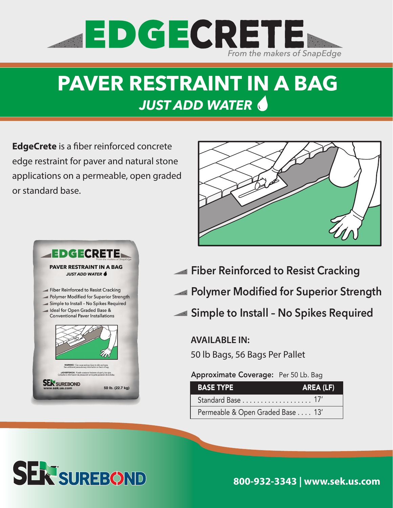

# **PAVER RESTRAINT IN A BAG** *JUST ADD WATER*

**EdgeCrete** is a fiber reinforced concrete edge restraint for paver and natural stone applications on a permeable, open graded or standard base.





- **Fiber Reinforced to Resist Cracking**
- **Polymer Modified for Superior Strength**
- **Simple to Install No Spikes Required**

### **AVAILABLE IN:**

50 lb Bags, 56 Bags Per Pallet

#### Approximate Coverage: Per 50 Lb. Bag

| <b>BASE TYPE</b>                 | AREA (LF) |
|----------------------------------|-----------|
| Standard Base 17'                |           |
| Permeable & Open Graded Base 13' |           |



**800-932-3343 | www.sek.us.com**